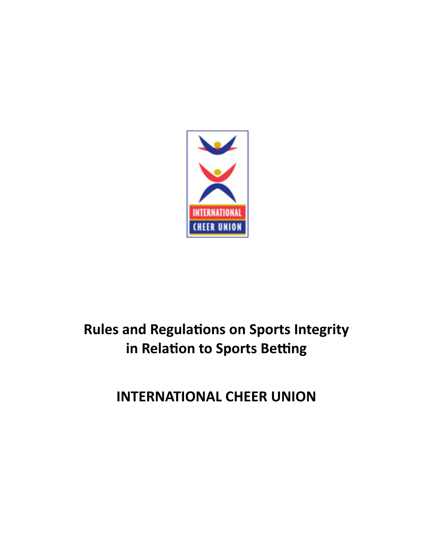

# **Rules and Regulations on Sports Integrity** in Relation to Sports Betting

**INTERNATIONAL CHEER UNION**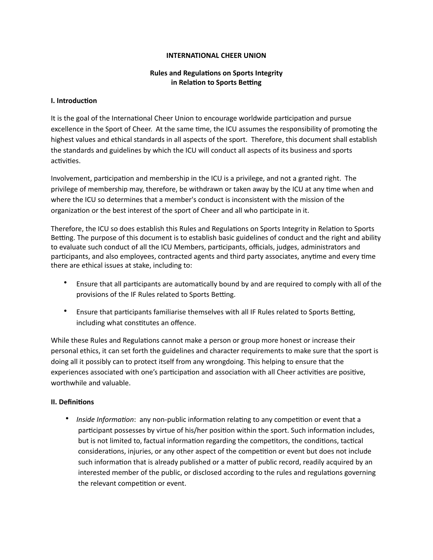#### **INTERNATIONAL CHEER UNION**

## **Rules and Regulations on Sports Integrity in Relation to Sports Betting**

#### **I.** Introduction

It is the goal of the International Cheer Union to encourage worldwide participation and pursue excellence in the Sport of Cheer. At the same time, the ICU assumes the responsibility of promoting the highest values and ethical standards in all aspects of the sport. Therefore, this document shall establish the standards and guidelines by which the ICU will conduct all aspects of its business and sports activities.

Involvement, participation and membership in the ICU is a privilege, and not a granted right. The privilege of membership may, therefore, be withdrawn or taken away by the ICU at any time when and where the ICU so determines that a member's conduct is inconsistent with the mission of the organization or the best interest of the sport of Cheer and all who participate in it.

Therefore, the ICU so does establish this Rules and Regulations on Sports Integrity in Relation to Sports Betting. The purpose of this document is to establish basic guidelines of conduct and the right and ability to evaluate such conduct of all the ICU Members, participants, officials, judges, administrators and participants, and also employees, contracted agents and third party associates, anytime and every time there are ethical issues at stake, including to:

- Ensure that all participants are automatically bound by and are required to comply with all of the provisions of the IF Rules related to Sports Betting.
- Ensure that participants familiarise themselves with all IF Rules related to Sports Betting, including what constitutes an offence.

While these Rules and Regulations cannot make a person or group more honest or increase their personal ethics, it can set forth the guidelines and character requirements to make sure that the sport is doing all it possibly can to protect itself from any wrongdoing. This helping to ensure that the experiences associated with one's participation and association with all Cheer activities are positive, worthwhile and valuable.

## **II.** Definitions

• *Inside Information*: any non-public information relating to any competition or event that a participant possesses by virtue of his/her position within the sport. Such information includes, but is not limited to, factual information regarding the competitors, the conditions, tactical considerations, injuries, or any other aspect of the competition or event but does not include such information that is already published or a matter of public record, readily acquired by an interested member of the public, or disclosed according to the rules and regulations governing the relevant competition or event.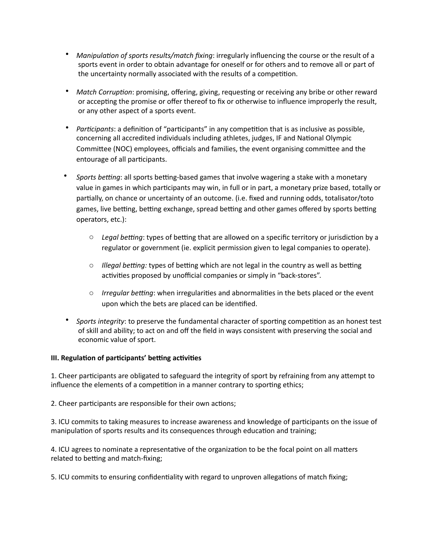- Manipulation of sports results/match fixing: irregularly influencing the course or the result of a sports event in order to obtain advantage for oneself or for others and to remove all or part of the uncertainty normally associated with the results of a competition.
- Match Corruption: promising, offering, giving, requesting or receiving any bribe or other reward or accepting the promise or offer thereof to fix or otherwise to influence improperly the result, or any other aspect of a sports event.
- *Participants*: a definition of "participants" in any competition that is as inclusive as possible, concerning all accredited individuals including athletes, judges, IF and National Olympic Committee (NOC) employees, officials and families, the event organising committee and the entourage of all participants.
- *Sports betting*: all sports betting-based games that involve wagering a stake with a monetary value in games in which participants may win, in full or in part, a monetary prize based, totally or partially, on chance or uncertainty of an outcome. (i.e. fixed and running odds, totalisator/toto games, live betting, betting exchange, spread betting and other games offered by sports betting operators, etc.):
	- Legal betting: types of betting that are allowed on a specific territory or jurisdiction by a regulator or government (ie. explicit permission given to legal companies to operate).
	- $\circ$  *Illegal betting:* types of betting which are not legal in the country as well as betting activities proposed by unofficial companies or simply in "back-stores".
	- $\circ$  *Irregular betting*: when irregularities and abnormalities in the bets placed or the event upon which the bets are placed can be identified.
- Sports integrity: to preserve the fundamental character of sporting competition as an honest test of skill and ability; to act on and off the field in ways consistent with preserving the social and economic value of sport.

# **III. Regulation of participants' betting activities**

1. Cheer participants are obligated to safeguard the integrity of sport by refraining from any attempt to influence the elements of a competition in a manner contrary to sporting ethics;

2. Cheer participants are responsible for their own actions;

3. ICU commits to taking measures to increase awareness and knowledge of participants on the issue of manipulation of sports results and its consequences through education and training;

4. ICU agrees to nominate a representative of the organization to be the focal point on all matters related to betting and match-fixing;

5. ICU commits to ensuring confidentiality with regard to unproven allegations of match fixing;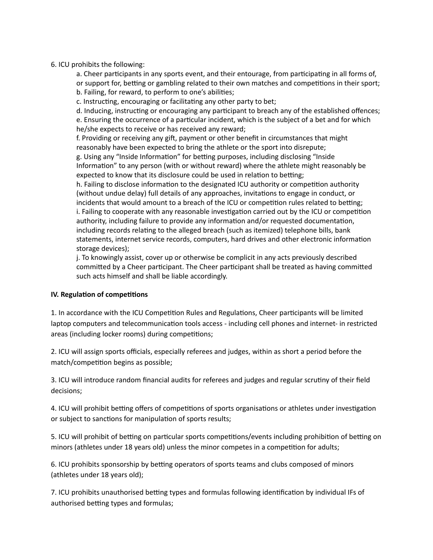## 6. ICU prohibits the following:

a. Cheer participants in any sports event, and their entourage, from participating in all forms of, or support for, betting or gambling related to their own matches and competitions in their sport; b. Failing, for reward, to perform to one's abilities;

c. Instructing, encouraging or facilitating any other party to bet;

d. Inducing, instructing or encouraging any participant to breach any of the established offences; e. Ensuring the occurrence of a particular incident, which is the subject of a bet and for which he/she expects to receive or has received any reward;

f. Providing or receiving any gift, payment or other benefit in circumstances that might reasonably have been expected to bring the athlete or the sport into disrepute; g. Using any "Inside Information" for betting purposes, including disclosing "Inside Information" to any person (with or without reward) where the athlete might reasonably be expected to know that its disclosure could be used in relation to betting;

h. Failing to disclose information to the designated ICU authority or competition authority (without undue delay) full details of any approaches, invitations to engage in conduct, or incidents that would amount to a breach of the ICU or competition rules related to betting; i. Failing to cooperate with any reasonable investigation carried out by the ICU or competition authority, including failure to provide any information and/or requested documentation, including records relating to the alleged breach (such as itemized) telephone bills, bank statements, internet service records, computers, hard drives and other electronic information storage devices);

j. To knowingly assist, cover up or otherwise be complicit in any acts previously described committed by a Cheer participant. The Cheer participant shall be treated as having committed such acts himself and shall be liable accordingly.

## **IV. Regulation of competitions**

1. In accordance with the ICU Competition Rules and Regulations, Cheer participants will be limited laptop computers and telecommunication tools access - including cell phones and internet- in restricted areas (including locker rooms) during competitions;

2. ICU will assign sports officials, especially referees and judges, within as short a period before the match/competition begins as possible;

3. ICU will introduce random financial audits for referees and judges and regular scrutiny of their field decisions;

4. ICU will prohibit betting offers of competitions of sports organisations or athletes under investigation or subject to sanctions for manipulation of sports results;

5. ICU will prohibit of betting on particular sports competitions/events including prohibition of betting on minors (athletes under 18 years old) unless the minor competes in a competition for adults;

6. ICU prohibits sponsorship by betting operators of sports teams and clubs composed of minors (athletes under 18 years old);

7. ICU prohibits unauthorised betting types and formulas following identification by individual IFs of authorised betting types and formulas;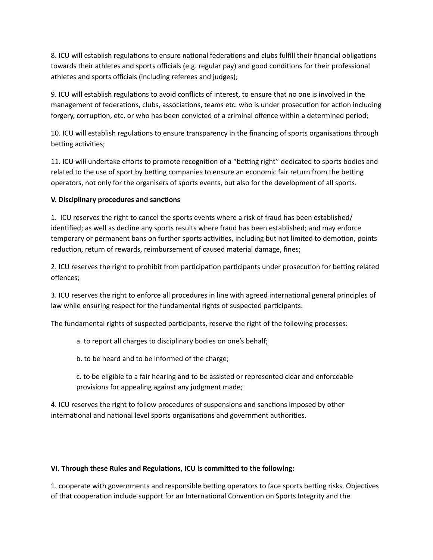8. ICU will establish regulations to ensure national federations and clubs fulfill their financial obligations towards their athletes and sports officials (e.g. regular pay) and good conditions for their professional athletes and sports officials (including referees and judges);

9. ICU will establish regulations to avoid conflicts of interest, to ensure that no one is involved in the management of federations, clubs, associations, teams etc. who is under prosecution for action including forgery, corruption, etc. or who has been convicted of a criminal offence within a determined period;

10. ICU will establish regulations to ensure transparency in the financing of sports organisations through betting activities;

11. ICU will undertake efforts to promote recognition of a "betting right" dedicated to sports bodies and related to the use of sport by betting companies to ensure an economic fair return from the betting operators, not only for the organisers of sports events, but also for the development of all sports.

# **V.** Disciplinary procedures and sanctions

1. ICU reserves the right to cancel the sports events where a risk of fraud has been established/ identified; as well as decline any sports results where fraud has been established; and may enforce temporary or permanent bans on further sports activities, including but not limited to demotion, points reduction, return of rewards, reimbursement of caused material damage, fines;

2. ICU reserves the right to prohibit from participation participants under prosecution for betting related offences;

3. ICU reserves the right to enforce all procedures in line with agreed international general principles of law while ensuring respect for the fundamental rights of suspected participants.

The fundamental rights of suspected participants, reserve the right of the following processes:

- a. to report all charges to disciplinary bodies on one's behalf;
- b. to be heard and to be informed of the charge;
- c. to be eligible to a fair hearing and to be assisted or represented clear and enforceable provisions for appealing against any judgment made;

4. ICU reserves the right to follow procedures of suspensions and sanctions imposed by other international and national level sports organisations and government authorities.

# VI. Through these Rules and Regulations, ICU is committed to the following:

1. cooperate with governments and responsible betting operators to face sports betting risks. Objectives of that cooperation include support for an International Convention on Sports Integrity and the